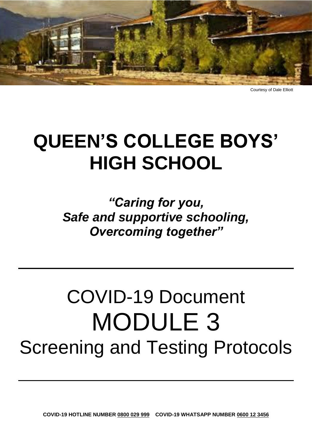

Courtesy of Dale Elliott

## **QUEEN'S COLLEGE BOYS' HIGH SCHOOL**

*"Caring for you, Safe and supportive schooling, Overcoming together"*

# COVID-19 Document MODULE 3 Screening and Testing Protocols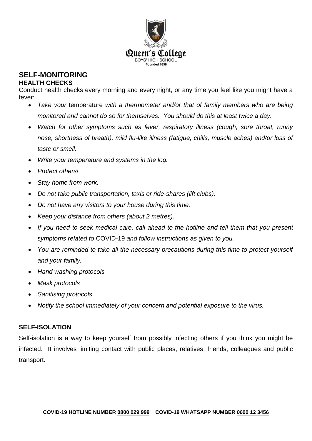

### **SELF-MONITORING**

#### **HEALTH CHECKS**

Conduct health checks every morning and every night, or any time you feel like you might have a fever:

- *Take your* temperature *with a thermometer and/or that of family members who are being monitored and cannot do so for themselves. You should do this at least twice a day.*
- *Watch for other symptoms such as fever, respiratory illness (cough, sore throat, runny nose, shortness of breath), mild flu-like illness (fatigue, chills, muscle aches) and/or loss of taste or smell.*
- *Write your temperature and systems in the log.*
- *Protect others!*
- *Stay home from work.*
- *Do not take public transportation, taxis or ride-shares (lift clubs).*
- *Do not have any visitors to your house during this time.*
- *Keep your distance from others (about 2 metres).*
- *If you need to seek medical care, call ahead to the hotline and tell them that you present symptoms related to* COVID-19 *and follow instructions as given to you.*
- *You are reminded to take all the necessary precautions during this time to protect yourself and your family.*
- *Hand washing protocols*
- *Mask protocols*
- *Sanitising protocols*
- *Notify the school immediately of your concern and potential exposure to the virus.*

#### **SELF-ISOLATION**

Self-isolation is a way to keep yourself from possibly infecting others if you think you might be infected. It involves limiting contact with public places, relatives, friends, colleagues and public transport.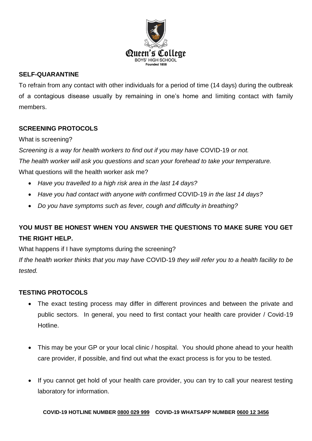

#### **SELF-QUARANTINE**

To refrain from any contact with other individuals for a period of time (14 days) during the outbreak of a contagious disease usually by remaining in one's home and limiting contact with family members.

#### **SCREENING PROTOCOLS**

#### What is screening?

*Screening is a way for health workers to find out if you may have* COVID-19 *or not.*

*The health worker will ask you questions and scan your forehead to take your temperature.* 

What questions will the health worker ask me?

- *Have you travelled to a high risk area in the last 14 days?*
- *Have you had contact with anyone with confirmed* COVID-19 *in the last 14 days?*
- *Do you have symptoms such as fever, cough and difficulty in breathing?*

#### **YOU MUST BE HONEST WHEN YOU ANSWER THE QUESTIONS TO MAKE SURE YOU GET THE RIGHT HELP.**

What happens if I have symptoms during the screening?

*If the health worker thinks that you may have* COVID-19 *they will refer you to a health facility to be tested.* 

#### **TESTING PROTOCOLS**

- The exact testing process may differ in different provinces and between the private and public sectors. In general, you need to first contact your health care provider / Covid-19 Hotline.
- This may be your GP or your local clinic / hospital. You should phone ahead to your health care provider, if possible, and find out what the exact process is for you to be tested.
- If you cannot get hold of your health care provider, you can try to call your nearest testing laboratory for information.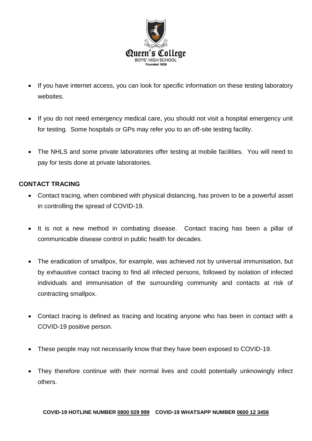

- If you have internet access, you can look for specific information on these testing laboratory websites.
- If you do not need emergency medical care, you should not visit a hospital emergency unit for testing. Some hospitals or GPs may refer you to an off-site testing facility.
- The NHLS and some private laboratories offer testing at mobile facilities. You will need to pay for tests done at private laboratories.

#### **CONTACT TRACING**

- Contact tracing, when combined with physical distancing, has proven to be a powerful asset in controlling the spread of COVID-19.
- It is not a new method in combating disease. Contact tracing has been a pillar of communicable disease control in public health for decades.
- The eradication of smallpox, for example, was achieved not by universal immunisation, but by exhaustive contact tracing to find all infected persons, followed by isolation of infected individuals and immunisation of the surrounding community and contacts at risk of contracting smallpox.
- Contact tracing is defined as tracing and locating anyone who has been in contact with a COVID-19 positive person.
- These people may not necessarily know that they have been exposed to COVID-19.
- They therefore continue with their normal lives and could potentially unknowingly infect others.